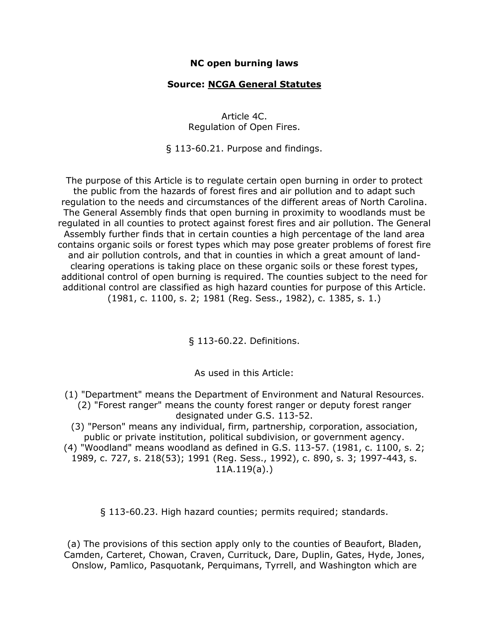## **NC open burning laws**

## **Source: [NCGA General Statutes](http://www.dfr.state.nc.us/burn_permit/burning_statute.htm)**

Article 4C. Regulation of Open Fires.

§ 113-60.21. Purpose and findings.

The purpose of this Article is to regulate certain open burning in order to protect the public from the hazards of forest fires and air pollution and to adapt such regulation to the needs and circumstances of the different areas of North Carolina. The General Assembly finds that open burning in proximity to woodlands must be regulated in all counties to protect against forest fires and air pollution. The General Assembly further finds that in certain counties a high percentage of the land area contains organic soils or forest types which may pose greater problems of forest fire and air pollution controls, and that in counties in which a great amount of landclearing operations is taking place on these organic soils or these forest types, additional control of open burning is required. The counties subject to the need for additional control are classified as high hazard counties for purpose of this Article. (1981, c. 1100, s. 2; 1981 (Reg. Sess., 1982), c. 1385, s. 1.)

§ 113-60.22. Definitions.

As used in this Article:

(1) "Department" means the Department of Environment and Natural Resources. (2) "Forest ranger" means the county forest ranger or deputy forest ranger designated under G.S. 113-52.

(3) "Person" means any individual, firm, partnership, corporation, association, public or private institution, political subdivision, or government agency.

(4) "Woodland" means woodland as defined in G.S. 113-57. (1981, c. 1100, s. 2; 1989, c. 727, s. 218(53); 1991 (Reg. Sess., 1992), c. 890, s. 3; 1997-443, s. 11A.119(a).)

§ 113-60.23. High hazard counties; permits required; standards.

(a) The provisions of this section apply only to the counties of Beaufort, Bladen, Camden, Carteret, Chowan, Craven, Currituck, Dare, Duplin, Gates, Hyde, Jones, Onslow, Pamlico, Pasquotank, Perquimans, Tyrrell, and Washington which are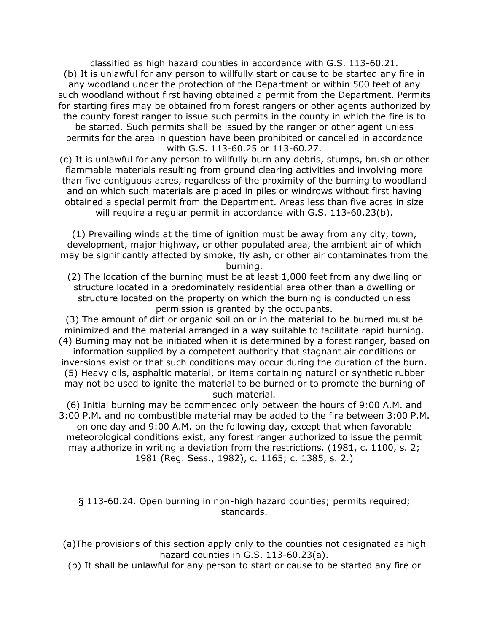classified as high hazard counties in accordance with G.S. 113-60.21. (b) It is unlawful for any person to willfully start or cause to be started any fire in any woodland under the protection of the Department or within 500 feet of any such woodland without first having obtained a permit from the Department. Permits for starting fires may be obtained from forest rangers or other agents authorized by the county forest ranger to issue such permits in the county in which the fire is to be started. Such permits shall be issued by the ranger or other agent unless permits for the area in question have been prohibited or cancelled in accordance with G.S. 113-60.25 or 113-60.27.

(c) It is unlawful for any person to willfully burn any debris, stumps, brush or other flammable materials resulting from ground clearing activities and involving more than five contiguous acres, regardless of the proximity of the burning to woodland and on which such materials are placed in piles or windrows without first having obtained a special permit from the Department. Areas less than five acres in size will require a regular permit in accordance with G.S. 113-60.23(b).

(1) Prevailing winds at the time of ignition must be away from any city, town, development, major highway, or other populated area, the ambient air of which may be significantly affected by smoke, fly ash, or other air contaminates from the burning.

(2) The location of the burning must be at least 1,000 feet from any dwelling or structure located in a predominately residential area other than a dwelling or structure located on the property on which the burning is conducted unless permission is granted by the occupants.

(3) The amount of dirt or organic soil on or in the material to be burned must be minimized and the material arranged in a way suitable to facilitate rapid burning. (4) Burning may not be initiated when it is determined by a forest ranger, based on

information supplied by a competent authority that stagnant air conditions or inversions exist or that such conditions may occur during the duration of the burn. (5) Heavy oils, asphaltic material, or items containing natural or synthetic rubber may not be used to ignite the material to be burned or to promote the burning of such material.

(6) Initial burning may be commenced only between the hours of 9:00 A.M. and 3:00 P.M. and no combustible material may be added to the fire between 3:00 P.M. on one day and 9:00 A.M. on the following day, except that when favorable meteorological conditions exist, any forest ranger authorized to issue the permit may authorize in writing a deviation from the restrictions. (1981, c. 1100, s. 2; 1981 (Reg. Sess., 1982), c. 1165; c. 1385, s. 2.)

§ 113-60.24. Open burning in non-high hazard counties; permits required; standards.

(a)The provisions of this section apply only to the counties not designated as high hazard counties in G.S. 113-60.23(a).

(b) It shall be unlawful for any person to start or cause to be started any fire or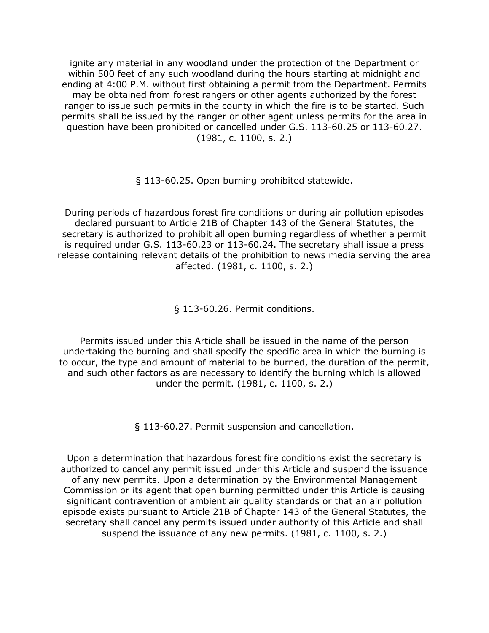ignite any material in any woodland under the protection of the Department or within 500 feet of any such woodland during the hours starting at midnight and ending at 4:00 P.M. without first obtaining a permit from the Department. Permits may be obtained from forest rangers or other agents authorized by the forest ranger to issue such permits in the county in which the fire is to be started. Such permits shall be issued by the ranger or other agent unless permits for the area in question have been prohibited or cancelled under G.S. 113-60.25 or 113-60.27. (1981, c. 1100, s. 2.)

§ 113-60.25. Open burning prohibited statewide.

During periods of hazardous forest fire conditions or during air pollution episodes declared pursuant to Article 21B of Chapter 143 of the General Statutes, the secretary is authorized to prohibit all open burning regardless of whether a permit is required under G.S. 113-60.23 or 113-60.24. The secretary shall issue a press release containing relevant details of the prohibition to news media serving the area affected. (1981, c. 1100, s. 2.)

§ 113-60.26. Permit conditions.

Permits issued under this Article shall be issued in the name of the person undertaking the burning and shall specify the specific area in which the burning is to occur, the type and amount of material to be burned, the duration of the permit, and such other factors as are necessary to identify the burning which is allowed under the permit. (1981, c. 1100, s. 2.)

§ 113-60.27. Permit suspension and cancellation.

Upon a determination that hazardous forest fire conditions exist the secretary is authorized to cancel any permit issued under this Article and suspend the issuance of any new permits. Upon a determination by the Environmental Management Commission or its agent that open burning permitted under this Article is causing significant contravention of ambient air quality standards or that an air pollution episode exists pursuant to Article 21B of Chapter 143 of the General Statutes, the secretary shall cancel any permits issued under authority of this Article and shall suspend the issuance of any new permits. (1981, c. 1100, s. 2.)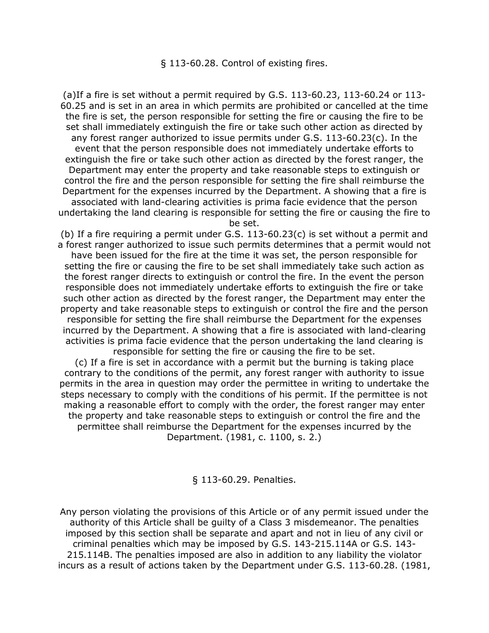§ 113-60.28. Control of existing fires.

(a)If a fire is set without a permit required by G.S. 113-60.23, 113-60.24 or 113- 60.25 and is set in an area in which permits are prohibited or cancelled at the time the fire is set, the person responsible for setting the fire or causing the fire to be set shall immediately extinguish the fire or take such other action as directed by any forest ranger authorized to issue permits under G.S. 113-60.23(c). In the event that the person responsible does not immediately undertake efforts to extinguish the fire or take such other action as directed by the forest ranger, the Department may enter the property and take reasonable steps to extinguish or control the fire and the person responsible for setting the fire shall reimburse the Department for the expenses incurred by the Department. A showing that a fire is associated with land-clearing activities is prima facie evidence that the person undertaking the land clearing is responsible for setting the fire or causing the fire to

be set.

(b) If a fire requiring a permit under G.S. 113-60.23(c) is set without a permit and a forest ranger authorized to issue such permits determines that a permit would not have been issued for the fire at the time it was set, the person responsible for setting the fire or causing the fire to be set shall immediately take such action as the forest ranger directs to extinguish or control the fire. In the event the person responsible does not immediately undertake efforts to extinguish the fire or take such other action as directed by the forest ranger, the Department may enter the property and take reasonable steps to extinguish or control the fire and the person responsible for setting the fire shall reimburse the Department for the expenses incurred by the Department. A showing that a fire is associated with land-clearing activities is prima facie evidence that the person undertaking the land clearing is responsible for setting the fire or causing the fire to be set.

(c) If a fire is set in accordance with a permit but the burning is taking place contrary to the conditions of the permit, any forest ranger with authority to issue permits in the area in question may order the permittee in writing to undertake the steps necessary to comply with the conditions of his permit. If the permittee is not making a reasonable effort to comply with the order, the forest ranger may enter the property and take reasonable steps to extinguish or control the fire and the permittee shall reimburse the Department for the expenses incurred by the Department. (1981, c. 1100, s. 2.)

§ 113-60.29. Penalties.

Any person violating the provisions of this Article or of any permit issued under the authority of this Article shall be guilty of a Class 3 misdemeanor. The penalties imposed by this section shall be separate and apart and not in lieu of any civil or criminal penalties which may be imposed by G.S. 143-215.114A or G.S. 143- 215.114B. The penalties imposed are also in addition to any liability the violator incurs as a result of actions taken by the Department under G.S. 113-60.28. (1981,